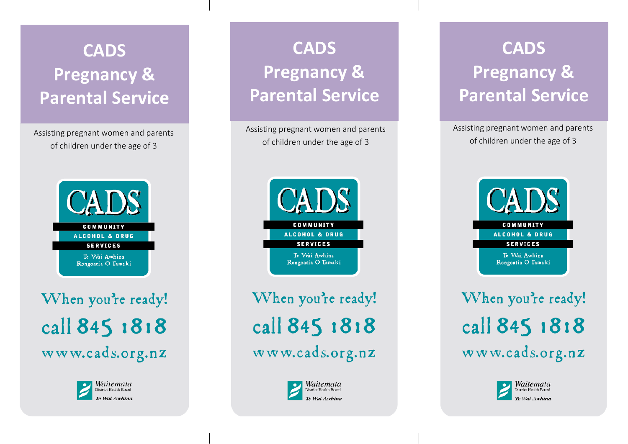## **CADS Pregnancy & Parental Service**

Assisting pregnant women and parents of children under the age of 3



When you're ready! call 845 1818 www.cads.org.nz



**CADS Pregnancy & Parental Service**

Assisting pregnant women and parents of children under the age of 3



When you're ready! call 845 1818 www.cads.org.nz



## **CADS Detail Pregnancy & CADS Pregnancy & Parental Service**

Assisting pregnant women and parents of children under the age of 3



When you're ready! call 845 1818 www.cads.org.nz

> Waitemata District Health Board Te Wai Awhina